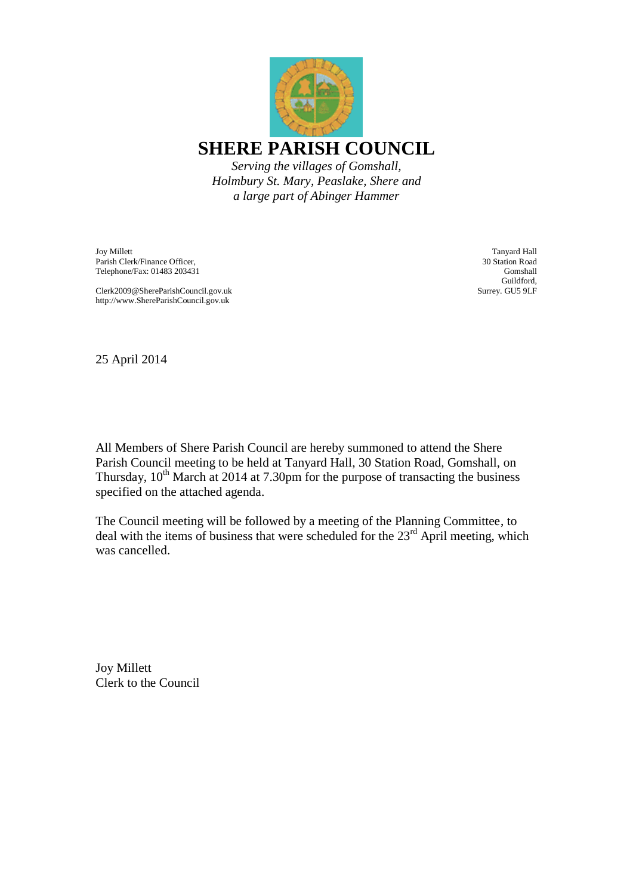

Joy Millett Parish Clerk/Finance Officer, Telephone/Fax: 01483 203431

Clerk2009@ShereParishCouncil.gov.uk http://www.ShereParishCouncil.gov.uk

Tanyard Hall 30 Station Road Gomshall Guildford, Surrey. GU5 9LF

25 April 2014

All Members of Shere Parish Council are hereby summoned to attend the Shere Parish Council meeting to be held at Tanyard Hall, 30 Station Road, Gomshall, on Thursday,  $10^{th}$  March at 2014 at 7.30pm for the purpose of transacting the business specified on the attached agenda.

The Council meeting will be followed by a meeting of the Planning Committee, to deal with the items of business that were scheduled for the  $23<sup>rd</sup>$  April meeting, which was cancelled.

Joy Millett Clerk to the Council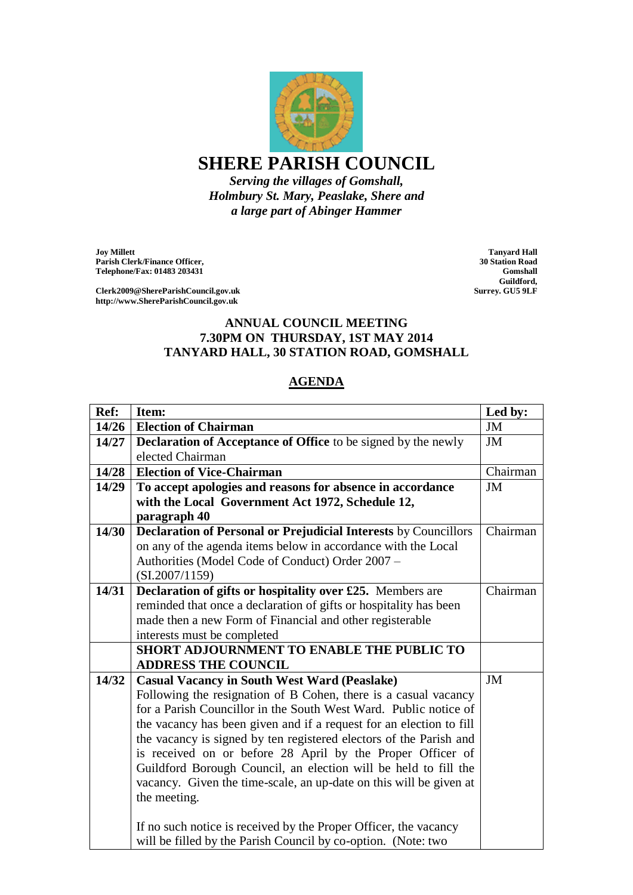

## **SHERE PARISH COUNCIL**

*Serving the villages of Gomshall, Holmbury St. Mary, Peaslake, Shere and a large part of Abinger Hammer*

**Joy Millett Parish Clerk/Finance Officer, Telephone/Fax: 01483 203431**

**Clerk2009@ShereParishCouncil.gov.uk http://www.ShereParishCouncil.gov.uk**

**Tanyard Hall 30 Station Road Gomshall Guildford, Surrey. GU5 9LF**

## **ANNUAL COUNCIL MEETING 7.30PM ON THURSDAY, 1ST MAY 2014 TANYARD HALL, 30 STATION ROAD, GOMSHALL**

## **AGENDA**

| Ref:  | Item:                                                                  | Led by:  |
|-------|------------------------------------------------------------------------|----------|
| 14/26 | <b>Election of Chairman</b>                                            | JM       |
| 14/27 | <b>Declaration of Acceptance of Office</b> to be signed by the newly   | JM       |
|       | elected Chairman                                                       |          |
| 14/28 | <b>Election of Vice-Chairman</b>                                       | Chairman |
| 14/29 | To accept apologies and reasons for absence in accordance              | JM       |
|       | with the Local Government Act 1972, Schedule 12,                       |          |
|       | paragraph 40                                                           |          |
| 14/30 | <b>Declaration of Personal or Prejudicial Interests by Councillors</b> | Chairman |
|       | on any of the agenda items below in accordance with the Local          |          |
|       | Authorities (Model Code of Conduct) Order 2007 -                       |          |
|       | (SI.2007/1159)                                                         |          |
| 14/31 | Declaration of gifts or hospitality over £25. Members are              | Chairman |
|       | reminded that once a declaration of gifts or hospitality has been      |          |
|       | made then a new Form of Financial and other registerable               |          |
|       | interests must be completed                                            |          |
|       | <b>SHORT ADJOURNMENT TO ENABLE THE PUBLIC TO</b>                       |          |
|       | <b>ADDRESS THE COUNCIL</b>                                             |          |
| 14/32 | <b>Casual Vacancy in South West Ward (Peaslake)</b>                    | JM       |
|       | Following the resignation of B Cohen, there is a casual vacancy        |          |
|       | for a Parish Councillor in the South West Ward. Public notice of       |          |
|       | the vacancy has been given and if a request for an election to fill    |          |
|       | the vacancy is signed by ten registered electors of the Parish and     |          |
|       | is received on or before 28 April by the Proper Officer of             |          |
|       | Guildford Borough Council, an election will be held to fill the        |          |
|       | vacancy. Given the time-scale, an up-date on this will be given at     |          |
|       | the meeting.                                                           |          |
|       |                                                                        |          |
|       | If no such notice is received by the Proper Officer, the vacancy       |          |
|       | will be filled by the Parish Council by co-option. (Note: two          |          |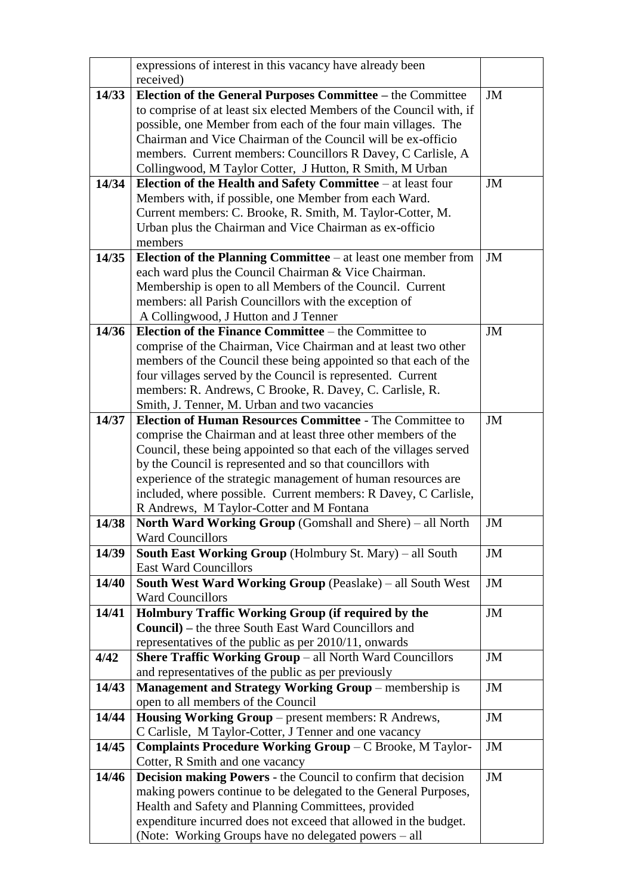|       | expressions of interest in this vacancy have already been            |    |
|-------|----------------------------------------------------------------------|----|
|       | received)                                                            |    |
| 14/33 | Election of the General Purposes Committee – the Committee           | JM |
|       | to comprise of at least six elected Members of the Council with, if  |    |
|       | possible, one Member from each of the four main villages. The        |    |
|       | Chairman and Vice Chairman of the Council will be ex-officio         |    |
|       | members. Current members: Councillors R Davey, C Carlisle, A         |    |
|       | Collingwood, M Taylor Cotter, J Hutton, R Smith, M Urban             |    |
| 14/34 | Election of the Health and Safety Committee $-$ at least four        | JM |
|       | Members with, if possible, one Member from each Ward.                |    |
|       | Current members: C. Brooke, R. Smith, M. Taylor-Cotter, M.           |    |
|       | Urban plus the Chairman and Vice Chairman as ex-officio              |    |
|       | members                                                              |    |
| 14/35 | Election of the Planning Committee $-$ at least one member from      | JM |
|       | each ward plus the Council Chairman & Vice Chairman.                 |    |
|       | Membership is open to all Members of the Council. Current            |    |
|       | members: all Parish Councillors with the exception of                |    |
|       | A Collingwood, J Hutton and J Tenner                                 |    |
| 14/36 | Election of the Finance Committee – the Committee to                 | JM |
|       | comprise of the Chairman, Vice Chairman and at least two other       |    |
|       | members of the Council these being appointed so that each of the     |    |
|       | four villages served by the Council is represented. Current          |    |
|       | members: R. Andrews, C Brooke, R. Davey, C. Carlisle, R.             |    |
|       | Smith, J. Tenner, M. Urban and two vacancies                         |    |
| 14/37 | <b>Election of Human Resources Committee - The Committee to</b>      | JM |
|       | comprise the Chairman and at least three other members of the        |    |
|       | Council, these being appointed so that each of the villages served   |    |
|       | by the Council is represented and so that councillors with           |    |
|       | experience of the strategic management of human resources are        |    |
|       | included, where possible. Current members: R Davey, C Carlisle,      |    |
|       | R Andrews, M Taylor-Cotter and M Fontana                             |    |
| 14/38 | <b>North Ward Working Group (Gomshall and Shere)</b> – all North     | JM |
|       | <b>Ward Councillors</b>                                              |    |
| 14/39 | <b>South East Working Group</b> (Holmbury St. Mary) – all South      | JM |
|       | <b>East Ward Councillors</b>                                         |    |
| 14/40 | <b>South West Ward Working Group (Peaslake) – all South West</b>     | JM |
|       | <b>Ward Councillors</b>                                              |    |
| 14/41 | Holmbury Traffic Working Group (if required by the                   | JM |
|       | <b>Council)</b> – the three South East Ward Councillors and          |    |
|       | representatives of the public as per 2010/11, onwards                |    |
| 4/42  | <b>Shere Traffic Working Group</b> – all North Ward Councillors      | JM |
|       | and representatives of the public as per previously                  |    |
| 14/43 | <b>Management and Strategy Working Group - membership is</b>         | JM |
|       | open to all members of the Council                                   |    |
| 14/44 | Housing Working Group – present members: R Andrews,                  | JM |
|       | C Carlisle, M Taylor-Cotter, J Tenner and one vacancy                |    |
| 14/45 | <b>Complaints Procedure Working Group – C Brooke, M Taylor-</b>      | JM |
|       | Cotter, R Smith and one vacancy                                      |    |
| 14/46 | <b>Decision making Powers - the Council to confirm that decision</b> | JM |
|       | making powers continue to be delegated to the General Purposes,      |    |
|       | Health and Safety and Planning Committees, provided                  |    |
|       | expenditure incurred does not exceed that allowed in the budget.     |    |
|       | (Note: Working Groups have no delegated powers – all                 |    |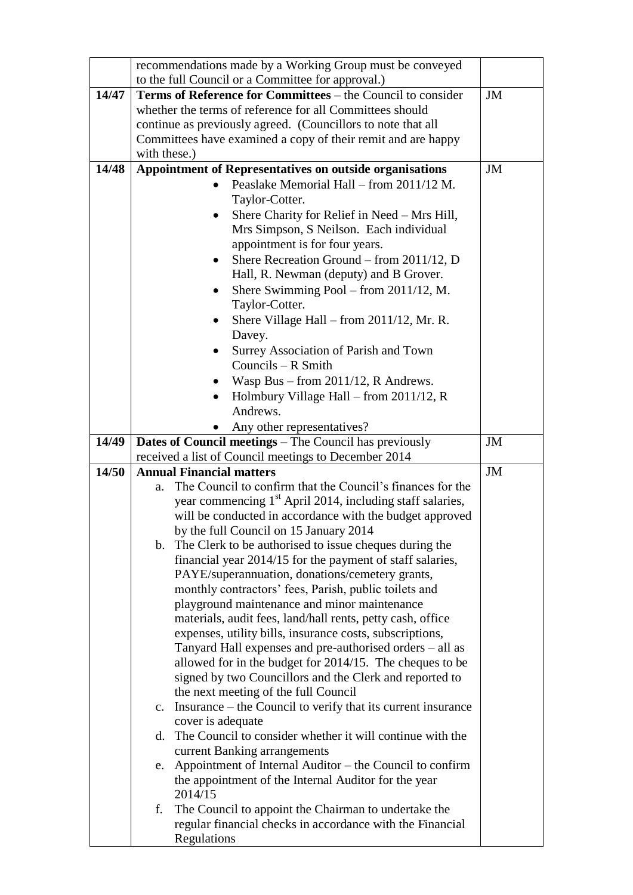|       | recommendations made by a Working Group must be conveyed                                                               |    |
|-------|------------------------------------------------------------------------------------------------------------------------|----|
|       | to the full Council or a Committee for approval.)                                                                      |    |
| 14/47 | Terms of Reference for Committees – the Council to consider                                                            | JM |
|       | whether the terms of reference for all Committees should                                                               |    |
|       | continue as previously agreed. (Councillors to note that all                                                           |    |
|       | Committees have examined a copy of their remit and are happy                                                           |    |
|       | with these.)                                                                                                           |    |
| 14/48 | <b>Appointment of Representatives on outside organisations</b>                                                         | JM |
|       | Peaslake Memorial Hall – from 2011/12 M.                                                                               |    |
|       | Taylor-Cotter.                                                                                                         |    |
|       | Shere Charity for Relief in Need - Mrs Hill,                                                                           |    |
|       | Mrs Simpson, S Neilson. Each individual                                                                                |    |
|       | appointment is for four years.                                                                                         |    |
|       | Shere Recreation Ground – from 2011/12, D                                                                              |    |
|       | Hall, R. Newman (deputy) and B Grover.                                                                                 |    |
|       | Shere Swimming Pool – from 2011/12, M.<br>$\bullet$                                                                    |    |
|       | Taylor-Cotter.                                                                                                         |    |
|       | Shere Village Hall – from 2011/12, Mr. R.                                                                              |    |
|       | Davey.                                                                                                                 |    |
|       | Surrey Association of Parish and Town                                                                                  |    |
|       | Councils $-$ R Smith                                                                                                   |    |
|       | Wasp Bus - from 2011/12, R Andrews.                                                                                    |    |
|       | Holmbury Village Hall – from $2011/12$ , R                                                                             |    |
|       | Andrews.                                                                                                               |    |
|       | Any other representatives?                                                                                             |    |
| 14/49 | <b>Dates of Council meetings</b> – The Council has previously                                                          | JM |
|       | received a list of Council meetings to December 2014                                                                   |    |
| 14/50 | <b>Annual Financial matters</b>                                                                                        | JM |
|       | The Council to confirm that the Council's finances for the<br>a.                                                       |    |
|       | year commencing 1 <sup>st</sup> April 2014, including staff salaries,                                                  |    |
|       | will be conducted in accordance with the budget approved                                                               |    |
|       | by the full Council on 15 January 2014                                                                                 |    |
|       | b. The Clerk to be authorised to issue cheques during the                                                              |    |
|       | financial year 2014/15 for the payment of staff salaries,                                                              |    |
|       | PAYE/superannuation, donations/cemetery grants,                                                                        |    |
|       | monthly contractors' fees, Parish, public toilets and                                                                  |    |
|       | playground maintenance and minor maintenance                                                                           |    |
|       | materials, audit fees, land/hall rents, petty cash, office                                                             |    |
|       | expenses, utility bills, insurance costs, subscriptions,                                                               |    |
|       | Tanyard Hall expenses and pre-authorised orders - all as                                                               |    |
|       | allowed for in the budget for 2014/15. The cheques to be                                                               |    |
|       | signed by two Councillors and the Clerk and reported to                                                                |    |
|       | the next meeting of the full Council<br>Insurance – the Council to verify that its current insurance<br>$\mathbf{c}$ . |    |
|       | cover is adequate                                                                                                      |    |
|       | The Council to consider whether it will continue with the<br>d.                                                        |    |
|       | current Banking arrangements                                                                                           |    |
|       | e. Appointment of Internal Auditor – the Council to confirm                                                            |    |
|       | the appointment of the Internal Auditor for the year                                                                   |    |
|       | 2014/15                                                                                                                |    |
|       | The Council to appoint the Chairman to undertake the<br>f.                                                             |    |
|       | regular financial checks in accordance with the Financial                                                              |    |
|       | Regulations                                                                                                            |    |